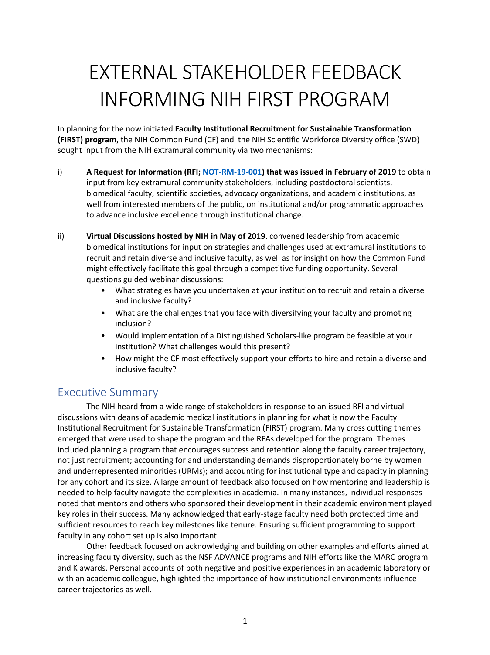# EXTERNAL STAKEHOLDER FEEDBACK INFORMING NIH FIRST PROGRAM

In planning for the now initiated **Faculty Institutional Recruitment for Sustainable Transformation (FIRST) program**, the NIH Common Fund (CF) and the NIH Scientific Workforce Diversity office (SWD) sought input from the NIH extramural community via two mechanisms:

- i) **A Request for Information (RFI; [NOT-RM-19-001\)](https://grants.nih.gov/grants/guide/notice-files/NOT-RM-19-001.html) that was issued in February of 2019** to obtain input from key extramural community stakeholders, including postdoctoral scientists, biomedical faculty, scientific societies, advocacy organizations, and academic institutions, as well from interested members of the public, on institutional and/or programmatic approaches to advance inclusive excellence through institutional change.
- ii) **Virtual Discussions hosted by NIH in May of 2019**. convened leadership from academic biomedical institutions for input on strategies and challenges used at extramural institutions to recruit and retain diverse and inclusive faculty, as well as for insight on how the Common Fund might effectively facilitate this goal through a competitive funding opportunity. Several questions guided webinar discussions:
	- What strategies have you undertaken at your institution to recruit and retain a diverse and inclusive faculty?
	- What are the challenges that you face with diversifying your faculty and promoting inclusion?
	- Would implementation of a Distinguished Scholars-like program be feasible at your institution? What challenges would this present?
	- How might the CF most effectively support your efforts to hire and retain a diverse and inclusive faculty?

### Executive Summary

The NIH heard from a wide range of stakeholders in response to an issued RFI and virtual discussions with deans of academic medical institutions in planning for what is now the Faculty Institutional Recruitment for Sustainable Transformation (FIRST) program. Many cross cutting themes emerged that were used to shape the program and the RFAs developed for the program. Themes included planning a program that encourages success and retention along the faculty career trajectory, not just recruitment; accounting for and understanding demands disproportionately borne by women and underrepresented minorities (URMs); and accounting for institutional type and capacity in planning for any cohort and its size. A large amount of feedback also focused on how mentoring and leadership is needed to help faculty navigate the complexities in academia. In many instances, individual responses noted that mentors and others who sponsored their development in their academic environment played key roles in their success. Many acknowledged that early-stage faculty need both protected time and sufficient resources to reach key milestones like tenure. Ensuring sufficient programming to support faculty in any cohort set up is also important.

Other feedback focused on acknowledging and building on other examples and efforts aimed at increasing faculty diversity, such as the NSF ADVANCE programs and NIH efforts like the MARC program and K awards. Personal accounts of both negative and positive experiences in an academic laboratory or with an academic colleague, highlighted the importance of how institutional environments influence career trajectories as well.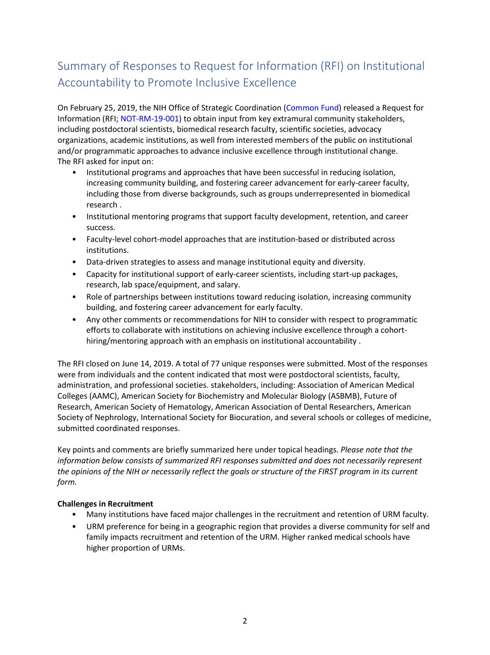## Summary of Responses to Request for Information (RFI) on Institutional Accountability to Promote Inclusive Excellence

On February 25, 2019, the NIH Office of Strategic Coordination (Common Fund) released a Request for Information (RFI; NOT-RM-19-001) to obtain input from key extramural community stakeholders, including postdoctoral scientists, biomedical research faculty, scientific societies, advocacy organizations, academic institutions, as well from interested members of the public on institutional and/or programmatic approaches to advance inclusive excellence through institutional change. The RFI asked for input on:

- Institutional programs and approaches that have been successful in reducing isolation, increasing community building, and fostering career advancement for early-career faculty, including those from diverse backgrounds, such as groups underrepresented in biomedical research .
- Institutional mentoring programs that support faculty development, retention, and career success.
- Faculty-level cohort-model approaches that are institution-based or distributed across institutions.
- Data-driven strategies to assess and manage institutional equity and diversity.
- Capacity for institutional support of early-career scientists, including start-up packages, research, lab space/equipment, and salary.
- Role of partnerships between institutions toward reducing isolation, increasing community building, and fostering career advancement for early faculty.
- Any other comments or recommendations for NIH to consider with respect to programmatic efforts to collaborate with institutions on achieving inclusive excellence through a cohorthiring/mentoring approach with an emphasis on institutional accountability .

The RFI closed on June 14, 2019. A total of 77 unique responses were submitted. Most of the responses were from individuals and the content indicated that most were postdoctoral scientists, faculty, administration, and professional societies. stakeholders, including: Association of American Medical Colleges (AAMC), American Society for Biochemistry and Molecular Biology (ASBMB), Future of Research, American Society of Hematology, American Association of Dental Researchers, American Society of Nephrology, International Society for Biocuration, and several schools or colleges of medicine, submitted coordinated responses.

Key points and comments are briefly summarized here under topical headings. *Please note that the information below consists of summarized RFI responses submitted and does not necessarily represent the opinions of the NIH or necessarily reflect the goals or structure of the FIRST program in its current form.* 

#### **Challenges in Recruitment**

- Many institutions have faced major challenges in the recruitment and retention of URM faculty.
- URM preference for being in a geographic region that provides a diverse community for self and family impacts recruitment and retention of the URM. Higher ranked medical schools have higher proportion of URMs.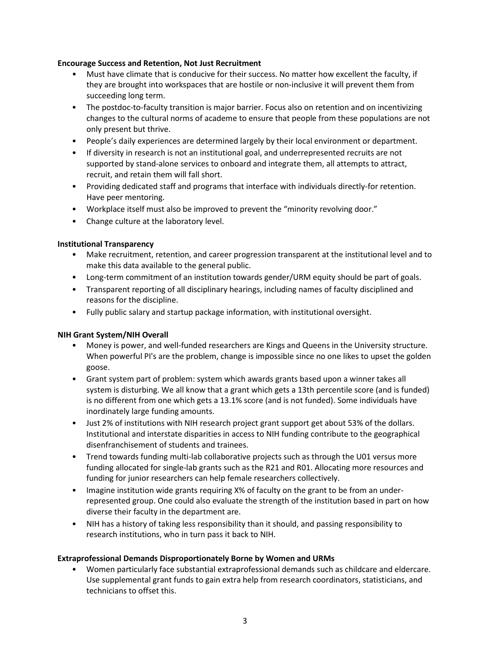#### **Encourage Success and Retention, Not Just Recruitment**

- Must have climate that is conducive for their success. No matter how excellent the faculty, if they are brought into workspaces that are hostile or non-inclusive it will prevent them from succeeding long term.
- The postdoc-to-faculty transition is major barrier. Focus also on retention and on incentivizing changes to the cultural norms of academe to ensure that people from these populations are not only present but thrive.
- People's daily experiences are determined largely by their local environment or department.
- If diversity in research is not an institutional goal, and underrepresented recruits are not supported by stand-alone services to onboard and integrate them, all attempts to attract, recruit, and retain them will fall short.
- Providing dedicated staff and programs that interface with individuals directly-for retention. Have peer mentoring.
- Workplace itself must also be improved to prevent the "minority revolving door."
- Change culture at the laboratory level.

#### **Institutional Transparency**

- Make recruitment, retention, and career progression transparent at the institutional level and to make this data available to the general public.
- Long-term commitment of an institution towards gender/URM equity should be part of goals.
- Transparent reporting of all disciplinary hearings, including names of faculty disciplined and reasons for the discipline.
- Fully public salary and startup package information, with institutional oversight.

#### **NIH Grant System/NIH Overall**

- Money is power, and well-funded researchers are Kings and Queens in the University structure. When powerful PI's are the problem, change is impossible since no one likes to upset the golden goose.
- Grant system part of problem: system which awards grants based upon a winner takes all system is disturbing. We all know that a grant which gets a 13th percentile score (and is funded) is no different from one which gets a 13.1% score (and is not funded). Some individuals have inordinately large funding amounts.
- Just 2% of institutions with NIH research project grant support get about 53% of the dollars. Institutional and interstate disparities in access to NIH funding contribute to the geographical disenfranchisement of students and trainees.
- Trend towards funding multi-lab collaborative projects such as through the U01 versus more funding allocated for single-lab grants such as the R21 and R01. Allocating more resources and funding for junior researchers can help female researchers collectively.
- Imagine institution wide grants requiring X% of faculty on the grant to be from an underrepresented group. One could also evaluate the strength of the institution based in part on how diverse their faculty in the department are.
- NIH has a history of taking less responsibility than it should, and passing responsibility to research institutions, who in turn pass it back to NIH.

#### **Extraprofessional Demands Disproportionately Borne by Women and URMs**

• Women particularly face substantial extraprofessional demands such as childcare and eldercare. Use supplemental grant funds to gain extra help from research coordinators, statisticians, and technicians to offset this.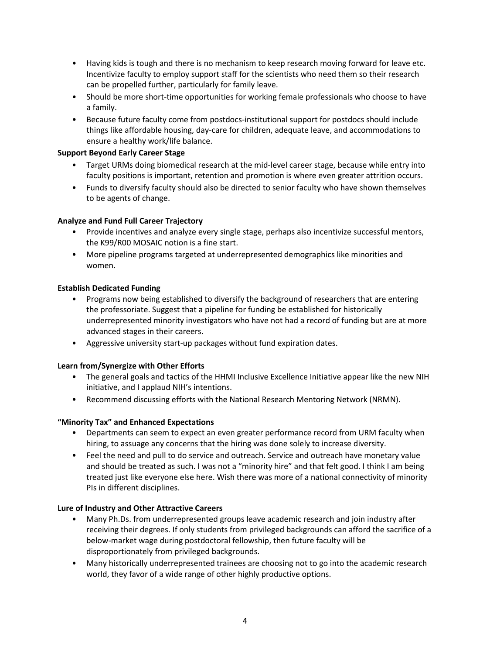- Having kids is tough and there is no mechanism to keep research moving forward for leave etc. Incentivize faculty to employ support staff for the scientists who need them so their research can be propelled further, particularly for family leave.
- Should be more short-time opportunities for working female professionals who choose to have a family.
- Because future faculty come from postdocs-institutional support for postdocs should include things like affordable housing, day-care for children, adequate leave, and accommodations to ensure a healthy work/life balance.

#### **Support Beyond Early Career Stage**

- Target URMs doing biomedical research at the mid-level career stage, because while entry into faculty positions is important, retention and promotion is where even greater attrition occurs.
- Funds to diversify faculty should also be directed to senior faculty who have shown themselves to be agents of change.

#### **Analyze and Fund Full Career Trajectory**

- Provide incentives and analyze every single stage, perhaps also incentivize successful mentors, the K99/R00 MOSAIC notion is a fine start.
- More pipeline programs targeted at underrepresented demographics like minorities and women.

#### **Establish Dedicated Funding**

- Programs now being established to diversify the background of researchers that are entering the professoriate. Suggest that a pipeline for funding be established for historically underrepresented minority investigators who have not had a record of funding but are at more advanced stages in their careers.
- Aggressive university start-up packages without fund expiration dates.

#### **Learn from/Synergize with Other Efforts**

- The general goals and tactics of the HHMI Inclusive Excellence Initiative appear like the new NIH initiative, and I applaud NIH's intentions.
- Recommend discussing efforts with the National Research Mentoring Network (NRMN).

#### **"Minority Tax" and Enhanced Expectations**

- Departments can seem to expect an even greater performance record from URM faculty when hiring, to assuage any concerns that the hiring was done solely to increase diversity.
- Feel the need and pull to do service and outreach. Service and outreach have monetary value and should be treated as such. I was not a "minority hire" and that felt good. I think I am being treated just like everyone else here. Wish there was more of a national connectivity of minority PIs in different disciplines.

#### **Lure of Industry and Other Attractive Careers**

- Many Ph.Ds. from underrepresented groups leave academic research and join industry after receiving their degrees. If only students from privileged backgrounds can afford the sacrifice of a below-market wage during postdoctoral fellowship, then future faculty will be disproportionately from privileged backgrounds.
- Many historically underrepresented trainees are choosing not to go into the academic research world, they favor of a wide range of other highly productive options.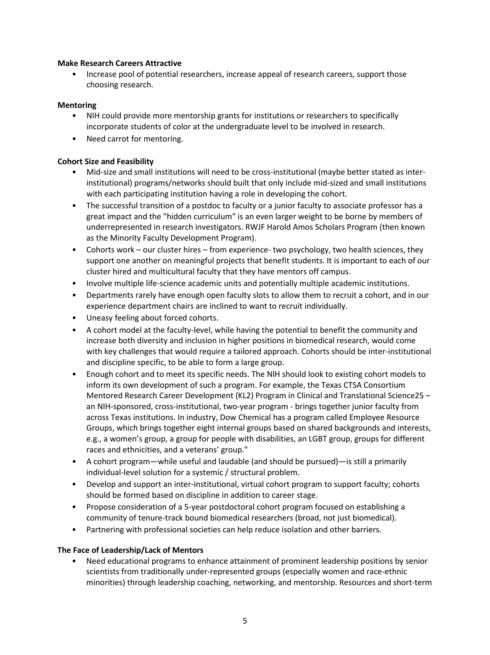#### **Make Research Careers Attractive**

• Increase pool of potential researchers, increase appeal of research careers, support those choosing research.

#### **Mentoring**

- NIH could provide more mentorship grants for institutions or researchers to specifically incorporate students of color at the undergraduate level to be involved in research.
- Need carrot for mentoring.

#### **Cohort Size and Feasibility**

- Mid-size and small institutions will need to be cross-institutional (maybe better stated as interinstitutional) programs/networks should built that only include mid-sized and small institutions with each participating institution having a role in developing the cohort.
- The successful transition of a postdoc to faculty or a junior faculty to associate professor has a great impact and the "hidden curriculum" is an even larger weight to be borne by members of underrepresented in research investigators. RWJF Harold Amos Scholars Program (then known as the Minority Faculty Development Program).
- Cohorts work our cluster hires from experience- two psychology, two health sciences, they support one another on meaningful projects that benefit students. It is important to each of our cluster hired and multicultural faculty that they have mentors off campus.
- Involve multiple life-science academic units and potentially multiple academic institutions.
- Departments rarely have enough open faculty slots to allow them to recruit a cohort, and in our experience department chairs are inclined to want to recruit individually.
- Uneasy feeling about forced cohorts.
- A cohort model at the faculty-level, while having the potential to benefit the community and increase both diversity and inclusion in higher positions in biomedical research, would come with key challenges that would require a tailored approach. Cohorts should be inter-institutional and discipline specific, to be able to form a large group.
- Enough cohort and to meet its specific needs. The NIH should look to existing cohort models to inform its own development of such a program. For example, the Texas CTSA Consortium Mentored Research Career Development (KL2) Program in Clinical and Translational Science25 – an NIH-sponsored, cross-institutional, two-year program - brings together junior faculty from across Texas institutions. In industry, Dow Chemical has a program called Employee Resource Groups, which brings together eight internal groups based on shared backgrounds and interests, e.g., a women's group, a group for people with disabilities, an LGBT group, groups for different races and ethnicities, and a veterans' group."
- A cohort program—while useful and laudable (and should be pursued)—is still a primarily individual-level solution for a systemic / structural problem.
- Develop and support an inter-institutional, virtual cohort program to support faculty; cohorts should be formed based on discipline in addition to career stage.
- Propose consideration of a 5-year postdoctoral cohort program focused on establishing a community of tenure-track bound biomedical researchers (broad, not just biomedical).
- Partnering with professional societies can help reduce isolation and other barriers.

#### **The Face of Leadership/Lack of Mentors**

• Need educational programs to enhance attainment of prominent leadership positions by senior scientists from traditionally under-represented groups (especially women and race-ethnic minorities) through leadership coaching, networking, and mentorship. Resources and short-term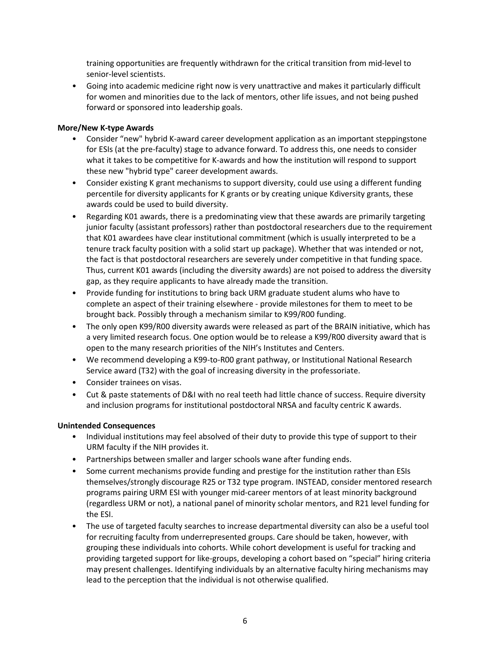training opportunities are frequently withdrawn for the critical transition from mid-level to senior-level scientists.

• Going into academic medicine right now is very unattractive and makes it particularly difficult for women and minorities due to the lack of mentors, other life issues, and not being pushed forward or sponsored into leadership goals.

#### **More/New K-type Awards**

- Consider "new" hybrid K-award career development application as an important steppingstone for ESIs (at the pre-faculty) stage to advance forward. To address this, one needs to consider what it takes to be competitive for K-awards and how the institution will respond to support these new "hybrid type" career development awards.
- Consider existing K grant mechanisms to support diversity, could use using a different funding percentile for diversity applicants for K grants or by creating unique Kdiversity grants, these awards could be used to build diversity.
- Regarding K01 awards, there is a predominating view that these awards are primarily targeting junior faculty (assistant professors) rather than postdoctoral researchers due to the requirement that K01 awardees have clear institutional commitment (which is usually interpreted to be a tenure track faculty position with a solid start up package). Whether that was intended or not, the fact is that postdoctoral researchers are severely under competitive in that funding space. Thus, current K01 awards (including the diversity awards) are not poised to address the diversity gap, as they require applicants to have already made the transition.
- Provide funding for institutions to bring back URM graduate student alums who have to complete an aspect of their training elsewhere - provide milestones for them to meet to be brought back. Possibly through a mechanism similar to K99/R00 funding.
- The only open K99/R00 diversity awards were released as part of the BRAIN initiative, which has a very limited research focus. One option would be to release a K99/R00 diversity award that is open to the many research priorities of the NIH's Institutes and Centers.
- We recommend developing a K99-to-R00 grant pathway, or Institutional National Research Service award (T32) with the goal of increasing diversity in the professoriate.
- Consider trainees on visas.
- Cut & paste statements of D&I with no real teeth had little chance of success. Require diversity and inclusion programs for institutional postdoctoral NRSA and faculty centric K awards.

#### **Unintended Consequences**

- Individual institutions may feel absolved of their duty to provide this type of support to their URM faculty if the NIH provides it.
- Partnerships between smaller and larger schools wane after funding ends.
- Some current mechanisms provide funding and prestige for the institution rather than ESIs themselves/strongly discourage R25 or T32 type program. INSTEAD, consider mentored research programs pairing URM ESI with younger mid-career mentors of at least minority background (regardless URM or not), a national panel of minority scholar mentors, and R21 level funding for the ESI.
- The use of targeted faculty searches to increase departmental diversity can also be a useful tool for recruiting faculty from underrepresented groups. Care should be taken, however, with grouping these individuals into cohorts. While cohort development is useful for tracking and providing targeted support for like-groups, developing a cohort based on "special" hiring criteria may present challenges. Identifying individuals by an alternative faculty hiring mechanisms may lead to the perception that the individual is not otherwise qualified.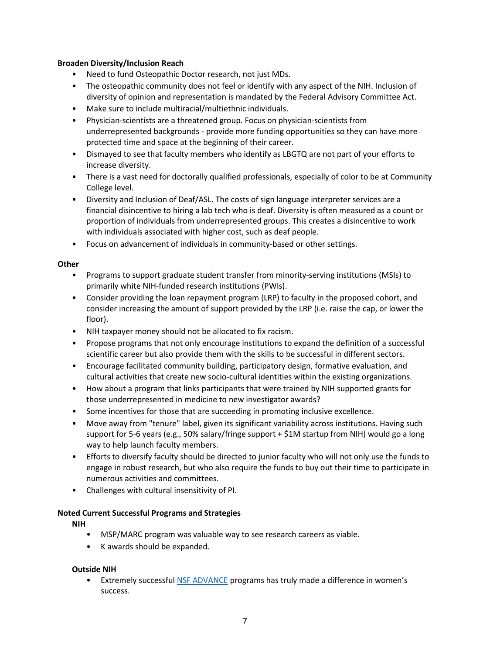#### **Broaden Diversity/Inclusion Reach**

- Need to fund Osteopathic Doctor research, not just MDs.
- The osteopathic community does not feel or identify with any aspect of the NIH. Inclusion of diversity of opinion and representation is mandated by the Federal Advisory Committee Act.
- Make sure to include multiracial/multiethnic individuals.
- Physician-scientists are a threatened group. Focus on physician-scientists from underrepresented backgrounds - provide more funding opportunities so they can have more protected time and space at the beginning of their career.
- Dismayed to see that faculty members who identify as LBGTQ are not part of your efforts to increase diversity.
- There is a vast need for doctorally qualified professionals, especially of color to be at Community College level.
- Diversity and Inclusion of Deaf/ASL. The costs of sign language interpreter services are a financial disincentive to hiring a lab tech who is deaf. Diversity is often measured as a count or proportion of individuals from underrepresented groups. This creates a disincentive to work with individuals associated with higher cost, such as deaf people.
- Focus on advancement of individuals in community-based or other settings.

#### **Other**

- Programs to support graduate student transfer from minority-serving institutions (MSIs) to primarily white NIH-funded research institutions (PWIs).
- Consider providing the loan repayment program (LRP) to faculty in the proposed cohort, and consider increasing the amount of support provided by the LRP (i.e. raise the cap, or lower the floor).
- NIH taxpayer money should not be allocated to fix racism.
- Propose programs that not only encourage institutions to expand the definition of a successful scientific career but also provide them with the skills to be successful in different sectors.
- Encourage facilitated community building, participatory design, formative evaluation, and cultural activities that create new socio-cultural identities within the existing organizations.
- How about a program that links participants that were trained by NIH supported grants for those underrepresented in medicine to new investigator awards?
- Some incentives for those that are succeeding in promoting inclusive excellence.
- Move away from "tenure" label, given its significant variability across institutions. Having such support for 5-6 years (e.g., 50% salary/fringe support + \$1M startup from NIH) would go a long way to help launch faculty members.
- Efforts to diversify faculty should be directed to junior faculty who will not only use the funds to engage in robust research, but who also require the funds to buy out their time to participate in numerous activities and committees.
- Challenges with cultural insensitivity of PI.

#### **Noted Current Successful Programs and Strategies**

**NIH** 

- MSP/MARC program was valuable way to see research careers as viable.
- K awards should be expanded.

#### **Outside NIH**

• Extremely successful [NSF ADVANCE](https://www.nsf.gov/crssprgm/advance/) programs has truly made a difference in women's success.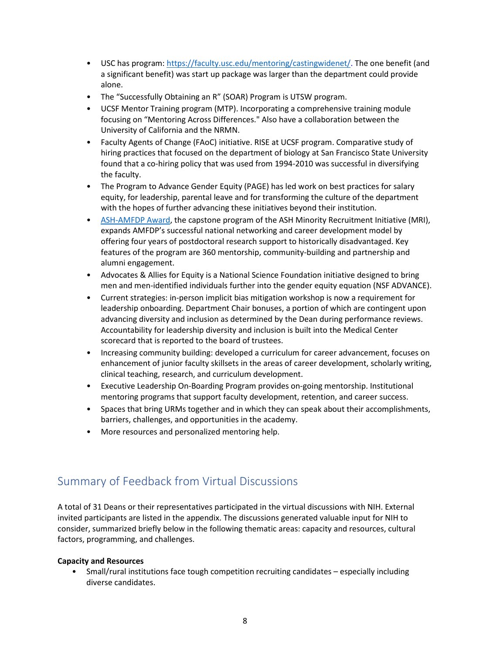- USC has program:<https://faculty.usc.edu/mentoring/castingwidenet/>. The one benefit (and a significant benefit) was start up package was larger than the department could provide alone.
- The "Successfully Obtaining an R" (SOAR) Program is UTSW program.
- UCSF Mentor Training program (MTP). Incorporating a comprehensive training module focusing on "Mentoring Across Differences." Also have a collaboration between the University of California and the NRMN.
- Faculty Agents of Change (FAoC) initiative. RISE at UCSF program. Comparative study of hiring practices that focused on the department of biology at San Francisco State University found that a co-hiring policy that was used from 1994-2010 was successful in diversifying the faculty.
- The Program to Advance Gender Equity (PAGE) has led work on best practices for salary equity, for leadership, parental leave and for transforming the culture of the department with the hopes of further advancing these initiatives beyond their institution.
- [ASH-AMFDP Award,](https://www.hematology.org/awards/career-enhancement-and-training/amos-medical-faculty-development-program/about) the capstone program of the ASH Minority Recruitment Initiative (MRI), expands AMFDP's successful national networking and career development model by offering four years of postdoctoral research support to historically disadvantaged. Key features of the program are 360 mentorship, community-building and partnership and alumni engagement.
- Advocates & Allies for Equity is a National Science Foundation initiative designed to bring men and men-identified individuals further into the gender equity equation (NSF ADVANCE).
- Current strategies: in-person implicit bias mitigation workshop is now a requirement for leadership onboarding. Department Chair bonuses, a portion of which are contingent upon advancing diversity and inclusion as determined by the Dean during performance reviews. Accountability for leadership diversity and inclusion is built into the Medical Center scorecard that is reported to the board of trustees.
- Increasing community building: developed a curriculum for career advancement, focuses on enhancement of junior faculty skillsets in the areas of career development, scholarly writing, clinical teaching, research, and curriculum development.
- Executive Leadership On-Boarding Program provides on-going mentorship. Institutional mentoring programs that support faculty development, retention, and career success.
- Spaces that bring URMs together and in which they can speak about their accomplishments, barriers, challenges, and opportunities in the academy.
- More resources and personalized mentoring help.

## Summary of Feedback from Virtual Discussions

A total of 31 Deans or their representatives participated in the virtual discussions with NIH. External invited participants are listed in the appendix. The discussions generated valuable input for NIH to consider, summarized briefly below in the following thematic areas: capacity and resources, cultural factors, programming, and challenges.

#### **Capacity and Resources**

• Small/rural institutions face tough competition recruiting candidates – especially including diverse candidates.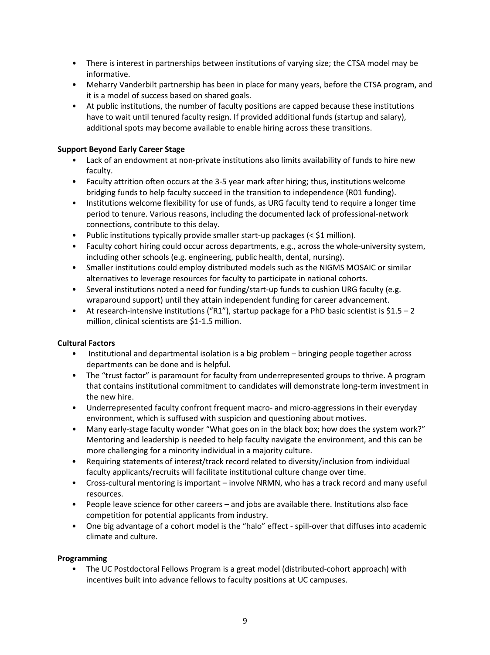- There is interest in partnerships between institutions of varying size; the CTSA model may be informative.
- Meharry Vanderbilt partnership has been in place for many years, before the CTSA program, and it is a model of success based on shared goals.
- At public institutions, the number of faculty positions are capped because these institutions have to wait until tenured faculty resign. If provided additional funds (startup and salary), additional spots may become available to enable hiring across these transitions.

#### **Support Beyond Early Career Stage**

- Lack of an endowment at non-private institutions also limits availability of funds to hire new faculty.
- Faculty attrition often occurs at the 3-5 year mark after hiring; thus, institutions welcome bridging funds to help faculty succeed in the transition to independence (R01 funding).
- Institutions welcome flexibility for use of funds, as URG faculty tend to require a longer time period to tenure. Various reasons, including the documented lack of professional-network connections, contribute to this delay.
- Public institutions typically provide smaller start-up packages  $( $51$  million).$
- Faculty cohort hiring could occur across departments, e.g., across the whole-university system, including other schools (e.g. engineering, public health, dental, nursing).
- Smaller institutions could employ distributed models such as the NIGMS MOSAIC or similar alternatives to leverage resources for faculty to participate in national cohorts.
- Several institutions noted a need for funding/start-up funds to cushion URG faculty (e.g. wraparound support) until they attain independent funding for career advancement.
- At research-intensive institutions ("R1"), startup package for a PhD basic scientist is  $$1.5 2$ million, clinical scientists are \$1-1.5 million.

#### **Cultural Factors**

- Institutional and departmental isolation is a big problem bringing people together across departments can be done and is helpful.
- The "trust factor" is paramount for faculty from underrepresented groups to thrive. A program that contains institutional commitment to candidates will demonstrate long-term investment in the new hire.
- Underrepresented faculty confront frequent macro- and micro-aggressions in their everyday environment, which is suffused with suspicion and questioning about motives.
- Many early-stage faculty wonder "What goes on in the black box; how does the system work?" Mentoring and leadership is needed to help faculty navigate the environment, and this can be more challenging for a minority individual in a majority culture.
- Requiring statements of interest/track record related to diversity/inclusion from individual faculty applicants/recruits will facilitate institutional culture change over time.
- Cross-cultural mentoring is important involve NRMN, who has a track record and many useful resources.
- People leave science for other careers and jobs are available there. Institutions also face competition for potential applicants from industry.
- One big advantage of a cohort model is the "halo" effect spill-over that diffuses into academic climate and culture.

#### **Programming**

• The UC Postdoctoral Fellows Program is a great model (distributed-cohort approach) with incentives built into advance fellows to faculty positions at UC campuses.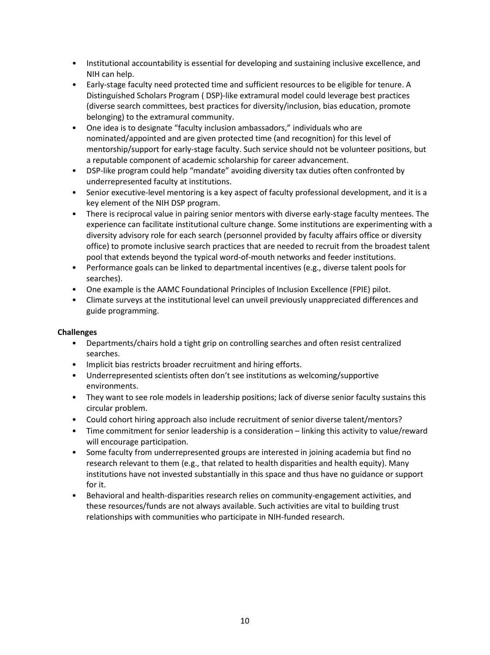- Institutional accountability is essential for developing and sustaining inclusive excellence, and NIH can help.
- Early-stage faculty need protected time and sufficient resources to be eligible for tenure. A Distinguished Scholars Program ( DSP)-like extramural model could leverage best practices (diverse search committees, best practices for diversity/inclusion, bias education, promote belonging) to the extramural community.
- One idea is to designate "faculty inclusion ambassadors," individuals who are nominated/appointed and are given protected time (and recognition) for this level of mentorship/support for early-stage faculty. Such service should not be volunteer positions, but a reputable component of academic scholarship for career advancement.
- DSP-like program could help "mandate" avoiding diversity tax duties often confronted by underrepresented faculty at institutions.
- Senior executive-level mentoring is a key aspect of faculty professional development, and it is a key element of the NIH DSP program.
- There is reciprocal value in pairing senior mentors with diverse early-stage faculty mentees. The experience can facilitate institutional culture change. Some institutions are experimenting with a diversity advisory role for each search (personnel provided by faculty affairs office or diversity office) to promote inclusive search practices that are needed to recruit from the broadest talent pool that extends beyond the typical word-of-mouth networks and feeder institutions.
- Performance goals can be linked to departmental incentives (e.g., diverse talent pools for searches).
- One example is the AAMC Foundational Principles of Inclusion Excellence (FPIE) pilot.
- Climate surveys at the institutional level can unveil previously unappreciated differences and guide programming.

#### **Challenges**

- Departments/chairs hold a tight grip on controlling searches and often resist centralized searches.
- Implicit bias restricts broader recruitment and hiring efforts.
- Underrepresented scientists often don't see institutions as welcoming/supportive environments.
- They want to see role models in leadership positions; lack of diverse senior faculty sustains this circular problem.
- Could cohort hiring approach also include recruitment of senior diverse talent/mentors?
- Time commitment for senior leadership is a consideration linking this activity to value/reward will encourage participation.
- Some faculty from underrepresented groups are interested in joining academia but find no research relevant to them (e.g., that related to health disparities and health equity). Many institutions have not invested substantially in this space and thus have no guidance or support for it.
- Behavioral and health-disparities research relies on community-engagement activities, and these resources/funds are not always available. Such activities are vital to building trust relationships with communities who participate in NIH-funded research.